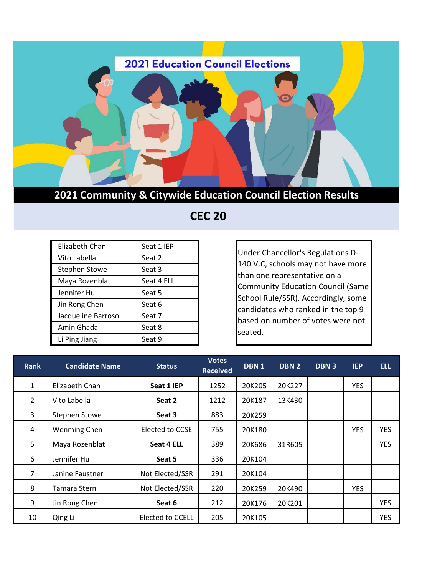

**2021 Community & Citywide Education Council Election Results**

 **CEC 20**

| Elizabeth Chan       | Seat 1 IEP |
|----------------------|------------|
| Vito Labella         | Seat 2     |
| <b>Stephen Stowe</b> | Seat 3     |
| Maya Rozenblat       | Seat 4 ELL |
| Jennifer Hu          | Seat 5     |
| Jin Rong Chen        | Seat 6     |
| Jacqueline Barroso   | Seat 7     |
| Amin Ghada           | Seat 8     |
| Li Ping Jiang        | Seat 9     |

Under Chancellor's Regulations D-140.V.C, schools may not have more than one representative on a Community Education Council (Same School Rule/SSR). Accordingly, some candidates who ranked in the top 9 based on number of votes were not seated.

| <b>Rank</b>    | <b>Candidate Name</b> | <b>Status</b>    | <b>Votes</b><br><b>Received</b> | DBN <sub>1</sub> | DBN 2  | <b>DBN3</b> | <b>IEP</b> | <b>ELL</b> |
|----------------|-----------------------|------------------|---------------------------------|------------------|--------|-------------|------------|------------|
| $\mathbf{1}$   | Elizabeth Chan        | Seat 1 IEP       | 1252                            | 20K205           | 20K227 |             | <b>YES</b> |            |
| $\overline{2}$ | Vito Labella          | Seat 2           | 1212                            | 20K187           | 13K430 |             |            |            |
| 3              | <b>Stephen Stowe</b>  | Seat 3           | 883                             | 20K259           |        |             |            |            |
| 4              | <b>Wenming Chen</b>   | Elected to CCSE  | 755                             | 20K180           |        |             | <b>YES</b> | <b>YES</b> |
| 5              | Maya Rozenblat        | Seat 4 ELL       | 389                             | 20K686           | 31R605 |             |            | <b>YES</b> |
| 6              | Jennifer Hu           | Seat 5           | 336                             | 20K104           |        |             |            |            |
| 7              | Janine Faustner       | Not Elected/SSR  | 291                             | 20K104           |        |             |            |            |
| 8              | Tamara Stern          | Not Elected/SSR  | 220                             | 20K259           | 20K490 |             | <b>YES</b> |            |
| 9              | Jin Rong Chen         | Seat 6           | 212                             | 20K176           | 20K201 |             |            | <b>YES</b> |
| 10             | Qing Li               | Elected to CCELL | 205                             | 20K105           |        |             |            | <b>YES</b> |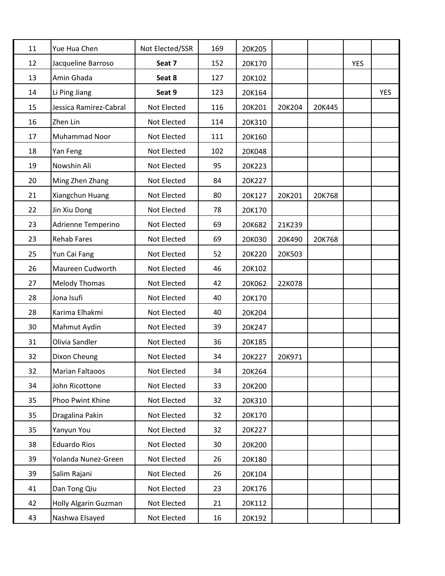| 11 | Yue Hua Chen           | Not Elected/SSR | 169 | 20K205 |        |        |            |            |
|----|------------------------|-----------------|-----|--------|--------|--------|------------|------------|
| 12 | Jacqueline Barroso     | Seat 7          | 152 | 20K170 |        |        | <b>YES</b> |            |
| 13 | Amin Ghada             | Seat 8          | 127 | 20K102 |        |        |            |            |
| 14 | Li Ping Jiang          | Seat 9          | 123 | 20K164 |        |        |            | <b>YES</b> |
| 15 | Jessica Ramirez-Cabral | Not Elected     | 116 | 20K201 | 20K204 | 20K445 |            |            |
| 16 | Zhen Lin               | Not Elected     | 114 | 20K310 |        |        |            |            |
| 17 | Muhammad Noor          | Not Elected     | 111 | 20K160 |        |        |            |            |
| 18 | Yan Feng               | Not Elected     | 102 | 20K048 |        |        |            |            |
| 19 | Nowshin Ali            | Not Elected     | 95  | 20K223 |        |        |            |            |
| 20 | Ming Zhen Zhang        | Not Elected     | 84  | 20K227 |        |        |            |            |
| 21 | Xiangchun Huang        | Not Elected     | 80  | 20K127 | 20K201 | 20K768 |            |            |
| 22 | Jin Xiu Dong           | Not Elected     | 78  | 20K170 |        |        |            |            |
| 23 | Adrienne Temperino     | Not Elected     | 69  | 20K682 | 21K239 |        |            |            |
| 23 | <b>Rehab Fares</b>     | Not Elected     | 69  | 20K030 | 20K490 | 20K768 |            |            |
| 25 | Yun Cai Fang           | Not Elected     | 52  | 20K220 | 20K503 |        |            |            |
| 26 | Maureen Cudworth       | Not Elected     | 46  | 20K102 |        |        |            |            |
| 27 | <b>Melody Thomas</b>   | Not Elected     | 42  | 20K062 | 22K078 |        |            |            |
| 28 | Jona Isufi             | Not Elected     | 40  | 20K170 |        |        |            |            |
| 28 | Karima Elhakmi         | Not Elected     | 40  | 20K204 |        |        |            |            |
| 30 | Mahmut Aydin           | Not Elected     | 39  | 20K247 |        |        |            |            |
| 31 | Olivia Sandler         | Not Elected     | 36  | 20K185 |        |        |            |            |
| 32 | Dixon Cheung           | Not Elected     | 34  | 20K227 | 20K971 |        |            |            |
| 32 | <b>Marian Faltaoos</b> | Not Elected     | 34  | 20K264 |        |        |            |            |
| 34 | John Ricottone         | Not Elected     | 33  | 20K200 |        |        |            |            |
| 35 | Phoo Pwint Khine       | Not Elected     | 32  | 20K310 |        |        |            |            |
| 35 | Dragalina Pakin        | Not Elected     | 32  | 20K170 |        |        |            |            |
| 35 | Yanyun You             | Not Elected     | 32  | 20K227 |        |        |            |            |
| 38 | <b>Eduardo Rios</b>    | Not Elected     | 30  | 20K200 |        |        |            |            |
| 39 | Yolanda Nunez-Green    | Not Elected     | 26  | 20K180 |        |        |            |            |
| 39 | Salim Rajani           | Not Elected     | 26  | 20K104 |        |        |            |            |
| 41 | Dan Tong Qiu           | Not Elected     | 23  | 20K176 |        |        |            |            |
| 42 | Holly Algarin Guzman   | Not Elected     | 21  | 20K112 |        |        |            |            |
| 43 | Nashwa Elsayed         | Not Elected     | 16  | 20K192 |        |        |            |            |